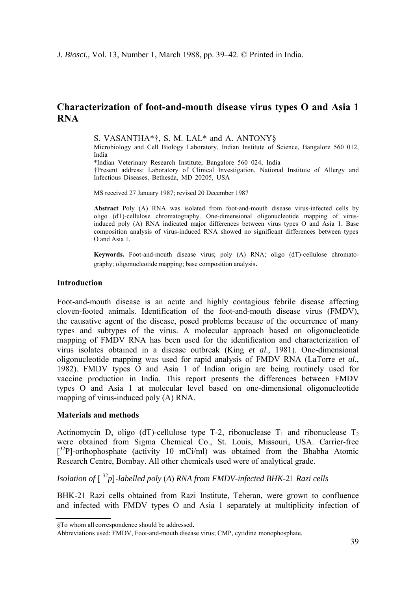# **Characterization of foot-and-mouth disease virus types Ο and Asia 1 RNA**

S. VASANTHA\*†, S. M. LAL\* and A. ANTONY§

Microbiology and Cell Biology Laboratory, Indian Institute of Science, Bangalore 560 012, India \*Indian Veterinary Research Institute, Bangalore 560 024, India

†Present address: Laboratory of Clinical Investigation, National Institute of Allergy and Infectious Diseases, Bethesda, MD 20205, USA

MS received 27 January 1987; revised 20 December 1987

**Abstract** Poly (A) RNA was isolated from foot-and-mouth disease virus-infected cells by oligo (dT)-cellulose chromatography. One-dimensional oligonucleotide mapping of virusinduced poly (A) RNA indicated major differences between virus types Ο and Asia 1. Base composition analysis of virus-induced RNA showed no significant differences between types O and Asia 1.

**Keywords.** Foot-and-mouth disease virus; poly (A) RNA; oligo (dT)-cellulose chromatography; oligonucleotide mapping; base composition analysis.

#### **Introduction**

Foot-and-mouth disease is an acute and highly contagious febrile disease affecting cloven-footed animals. Identification of the foot-and-mouth disease virus (FMDV), the causative agent of the disease, posed problems because of the occurrence of many types and subtypes of the virus. A molecular approach based on oligonucleotide mapping of FMDV RNA has been used for the identification and characterization of virus isolates obtained in a disease outbreak (King *et al.,* 1981). One-dimensional oligonucleotide mapping was used for rapid analysis of FMDV RNA (LaTorre *et al.,*  1982). FMDV types Ο and Asia 1 of Indian origin are being routinely used for vaccine production in India. This report presents the differences between FMDV types Ο and Asia 1 at molecular level based on one-dimensional oligonucleotide mapping of virus-induced poly (A) RNA.

#### **Materials and methods**

Actinomycin D, oligo (dT)-cellulose type T-2, ribonuclease  $T_1$  and ribonuclease  $T_2$ were obtained from Sigma Chemical Co., St. Louis, Missouri, USA. Carrier-free  $[3<sup>2</sup>P]$ -orthophosphate (activity 10 mCi/ml) was obtained from the Bhabha Atomic Research Centre, Bombay. All other chemicals used were of analytical grade.

## *Isolation of* [ <sup>32</sup>*p*]*-labelled poly* (*A*) *RNA from FMDV-infected BHK-*21 *Razi cells*

BHK-21 Razi cells obtained from Razi Institute, Teheran, were grown to confluence and infected with FMDV types Ο and Asia 1 separately at multiplicity infection of

<sup>§</sup>To whom all correspondence should be addressed. Abbreviations used: FMDV, Foot-and-mouth disease virus; CMP, cytidine monophosphate.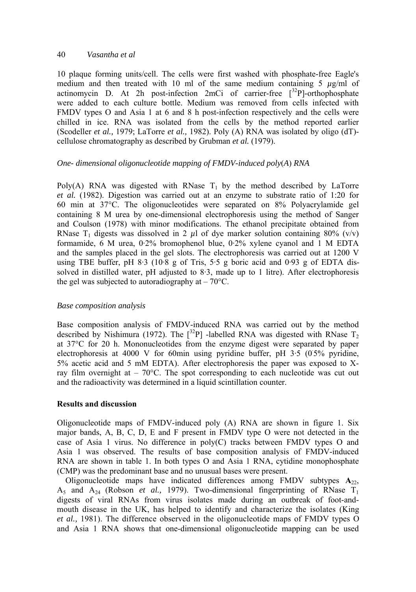## 40 *Vasantha et al*

10 plaque forming units/cell. The cells were first washed with phosphate-free Eagle's medium and then treated with 10 ml of the same medium containing 5  $\mu$ g/ml of actinomycin D. At 2h post-infection 2mCi of carrier-free  $[^{32}P]$ -orthophosphate were added to each culture bottle. Medium was removed from cells infected with FMDV types Ο and Asia 1 at 6 and 8 h post-infection respectively and the cells were chilled in ice. RNA was isolated from the cells by the method reported earlier (Scodeller *et al.,* 1979; LaTorre *et al.,* 1982). Poly (A) RNA was isolated by oligo (dT) cellulose chromatography as described by Grubman *et al.* (1979).

## *One- dimensional oligonucleotide mapping of FMDV-induced poly*(*A*) *RNA*

Poly(A) RNA was digested with RNase  $T_1$  by the method described by LaTorre *et al.* (1982). Digestion was carried out at an enzyme to substrate ratio of 1:20 for 60 min at 37°C. The oligonucleotides were separated on 8% Polyacrylamide gel containing 8 Μ urea by one-dimensional electrophoresis using the method of Sanger and Coulson (1978) with minor modifications. The ethanol precipitate obtained from RNase T<sub>1</sub> digests was dissolved in 2  $\mu$ l of dye marker solution containing 80% (v/v) formamide, 6 Μ urea, 0·2% bromophenol blue, 0·2% xylene cyanol and 1 Μ EDTA and the samples placed in the gel slots. The electrophoresis was carried out at 1200 V using TBE buffer, pH 8.3 (10.8 g of Tris, 5.5 g boric acid and 0.93 g of EDTA dissolved in distilled water, pH adjusted to 8·3, made up to 1 litre). After electrophoresis the gel was subjected to autoradiography at  $-70^{\circ}$ C.

## *Base composition analysis*

Base composition analysis of FMDV-induced RNA was carried out by the method described by Nishimura (1972). The  $[^{32}P]$  -labelled RNA was digested with RNase T<sub>2</sub> at 37°C for 20 h. Mononucleotides from the enzyme digest were separated by paper electrophoresis at 4000 V for 60min using pyridine buffer, pH  $3.5$  (0.5% pyridine, 5% acetic acid and 5 mM EDTA). After electrophoresis the paper was exposed to Xray film overnight at  $-70^{\circ}$ C. The spot corresponding to each nucleotide was cut out and the radioactivity was determined in a liquid scintillation counter.

## **Results and discussion**

Oligonucleotide maps of FMDV-induced poly (A) RNA are shown in figure 1. Six major bands, A, B, C, D, Ε and F present in FMDV type Ο were not detected in the case of Asia 1 virus. No difference in poly(C) tracks between FMDV types Ο and Asia 1 was observed. The results of base composition analysis of FMDV-induced RNA are shown in table 1. In both types Ο and Asia 1 RNA, cytidine monophosphate (CMP) was the predominant base and no unusual bases were present.

Oligonucleotide maps have indicated differences among FMDV subtypes  $A_{22}$ ,  $A_5$  and  $A_{24}$  (Robson *et al.*, 1979). Two-dimensional fingerprinting of RNase  $T_1$ digests of viral RNAs from virus isolates made during an outbreak of foot-andmouth disease in the UK, has helped to identify and characterize the isolates (King *et al.,* 1981). The difference observed in the oligonucleotide maps of FMDV types Ο and Asia 1 RNA shows that one-dimensional oligonucleotide mapping can be used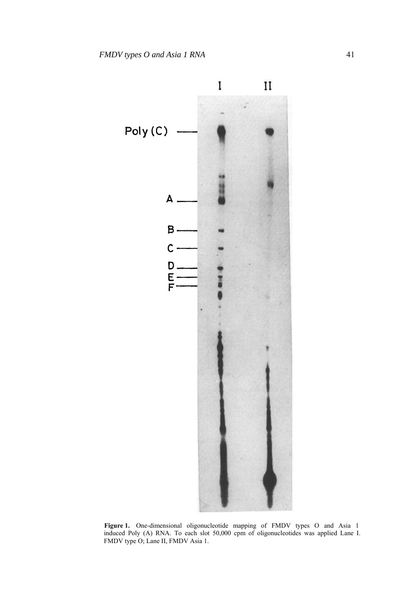

**Figure 1.** One-dimensional oligonucleotide mapping of FMDV types Ο and Asia 1 induced Poly (A) RNA. To each slot 50,000 cpm of oligonucleotides was applied Lane I. FMDV type O; Lane II, FMDV Asia 1.